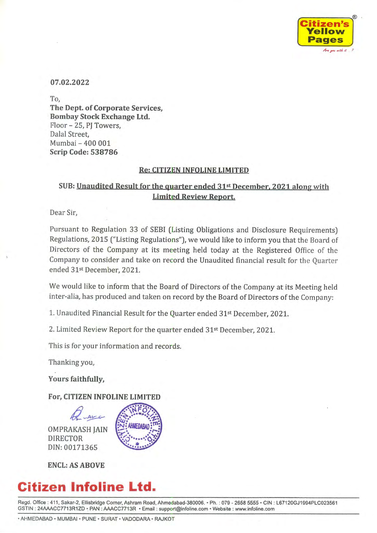

07.02.2022

To, The Dept. of Corporate Services, **Bombay Stock Exchange Ltd.** Floor - 25, PJ Towers, Dalal Street, Mumbai - 400 001 **Scrip Code: 538786** 

#### **Re: CITIZEN INFOLINE LIMITED**

### SUB: Unaudited Result for the quarter ended 31<sup>st</sup> December, 2021 along with **Limited Review Report.**

Dear Sir,

Pursuant to Regulation 33 of SEBI (Listing Obligations and Disclosure Requirements) Regulations, 2015 ("Listing Regulations"), we would like to inform you that the Board of Directors of the Company at its meeting held today at the Registered Office of the Company to consider and take on record the Unaudited financial result for the Quarter ended 31st December, 2021.

We would like to inform that the Board of Directors of the Company at its Meeting held inter-alia, has produced and taken on record by the Board of Directors of the Company:

1. Unaudited Financial Result for the Quarter ended 31st December, 2021.

2. Limited Review Report for the quarter ended 31<sup>st</sup> December, 2021.

This is for your information and records.

Thanking you,

Yours faithfully,

For, CITIZEN INFOLINE LIMITED

**OMPRAKASH JAIN DIRECTOR** DIN: 00171365



**ENCL: AS ABOVE** 

# **Citizen Infoline Ltd.**

Regd. Office: 411, Sakar-2, Ellisbridge Corner, Ashram Road, Ahmedabad-380006. · Ph.: 079 - 2658 5555 · CIN: L67120GJ1994PLC023561 GSTIN: 24AAACC7713R1ZD · PAN: AAACC7713R · Email: support@infoline.com · Website: www.infoline.com

· AHMEDABAD · MUMBAI · PUNE · SURAT · VADODARA · RAJKOT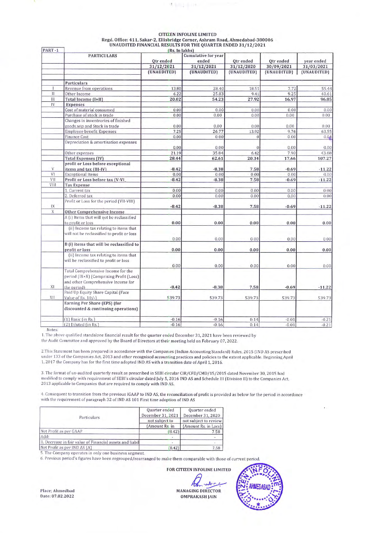| PART-1      |                                            | (Rs. In lakhs)          |             |                         |                         |                          |
|-------------|--------------------------------------------|-------------------------|-------------|-------------------------|-------------------------|--------------------------|
|             | <b>PARTICULARS</b>                         | Cumulative for year     |             |                         |                         |                          |
|             |                                            | Qtr ended<br>31/12/2021 | ended       | Qtr ended<br>31/12/2020 | Qtr ended<br>30/09/2021 | year ended<br>31/03/2021 |
|             |                                            |                         | 31/12/2021  |                         |                         |                          |
|             |                                            | (UNAUDITED)             | (UNAUDITED) | (UNAUDITED)             | (UNAUDITED)             | (UNAUDITED)              |
|             | Particulars                                |                         |             |                         |                         |                          |
|             | Revenue from operations                    | 13.80                   | 28.40       | 18.51                   | 7.72                    | 55.44                    |
| $\prod$     | Other Income                               | 6.22                    | 25.83       | 9.41                    | 9.25                    | 40.61                    |
| Ш           | Total Income (I+II)                        | 20.02                   | 54.23       | 27.92                   | 16.97                   | 96.05                    |
| IV          | <b>Expenses</b>                            |                         |             |                         |                         |                          |
|             | Cost of material consumed                  | 0.00                    | 0.00        | 0.00                    | 0.00                    | 0.00                     |
|             | Purchase of stock in trade                 | 0.00                    | 0.00        | 0.00                    | 0.00                    | 0.00                     |
|             | Changes in inventrories of finished        |                         |             |                         |                         |                          |
|             | goods, wip and Stock in trade              | 0.00                    | 0.00        | 0.00                    | 0.00                    | 0.00                     |
|             | Employee benefit Expenses                  | 7.25                    | 26.77       | 13.92                   | 9.76                    | 63.55                    |
|             | <b>Finance Cost</b>                        | 0.00                    | 0.00        | $\Omega$                | 0.00                    | 0.04                     |
|             | Depreciation & amortisation expenses       |                         |             |                         |                         |                          |
|             |                                            | 0.00                    | 0.00        | $\Omega$                | 0.00                    | 0.00                     |
|             | Other expenses                             | 21.19                   | 35.84       | 6.42                    | 7.90                    | 43.68                    |
|             | <b>Total Expenses (IV)</b>                 | 28.44                   | 62.61       | 20.34                   | 17.66                   | 107.27                   |
|             | profit or Loss before exceptional          |                         |             |                         |                         |                          |
| V           | items and tax (III-IV)                     | $-8.42$                 | $-8.38$     | 7.58                    | $-0.69$                 | $-11.22$                 |
| VI          | <b>Exceptional Items</b>                   | 0.00                    | 0.00        | 0.00                    | 0.00                    | 0.00                     |
| VII         | Profit or Loss before tax (V-VI            | $-8.42$                 | $-8.38$     | 7.58                    | $-0.69$                 | $-11.22$                 |
| VIII        | <b>Tax Expense</b>                         |                         |             |                         |                         |                          |
|             | 1. Current tax                             | 0.00                    | 0.00        | 0.00                    | 0.00                    | 0.00                     |
|             | 2. Deferred tax                            | 0.00                    | 0.00        | 0.00                    | 0.00                    | 0.00                     |
|             | Profit or Loss for the period (VII-VIII)   |                         |             |                         |                         |                          |
| 1X          |                                            | $-8.42$                 | $-8.38$     | 7.58                    | $-0.69$                 | $-11.22$                 |
| $\mathbf X$ | Other Comprehensive Income                 |                         |             |                         |                         |                          |
|             | A (i) Items that will not be reclassified  |                         |             |                         |                         |                          |
|             | to profit or loss                          | 0.00                    | 0.00        | 0.00                    | 0.00                    | 0.00                     |
|             | (ii) Income tax relating to items that     |                         |             |                         |                         |                          |
|             | will not be reclassified to profit or loss |                         |             |                         |                         |                          |
|             |                                            | 0.00                    | 0.00        | 0.00                    | 0.00                    | 0.00                     |
|             | B (i) items that will be reclassified to   |                         |             |                         |                         |                          |
|             | profit or loss                             | 0.00                    | 0.00        | 0.00                    | 0.00                    | 0.00                     |
|             | (ii) Income tax relating to items that     |                         |             |                         |                         |                          |
|             | will be reclassified to profit or loss     |                         |             |                         |                         |                          |
|             |                                            | 0.00                    | 0.00        | 0.00                    | 0.00                    | 0.00                     |
|             | Total Comprehensive Income for the         |                         |             |                         |                         |                          |
|             | period (IX+X) (Comprising Profit (Loss)    |                         |             |                         |                         |                          |
|             | and other Comprehensive Income for         |                         |             |                         |                         |                          |
| X1          | the period)                                | $-8.42$                 | $-8.38$     | 7.58                    | $-0.69$                 | $-11.22$                 |
|             | Paid Up Equity Share Capital (Face         |                         |             |                         |                         |                          |
| XII         | Value of Rs. 10/-)                         | 539.73                  | 539.73      | 539.73                  | 539.73                  | 539.73                   |
|             | Earning Per Share (EPS) (for               |                         |             |                         |                         |                          |
|             | discounted & continuing operations)        |                         |             |                         |                         |                          |
|             | $(1)$ Basic (in Rs.)                       | $-0.16$                 | $-0.16$     | 0.14                    | $-0.01$                 | $-0.21$                  |
|             | (2) Diluted (in Rs.)                       | $-0.16$                 | $-0.16$     | 0.14                    | $-0.01$                 | $-0.21$                  |

### **CITIZEN INFOLINE LIMITED** Regd. Office: 411, Sakar-2, Ellisbridge Corner, Ashram Road, Ahmedabad-380006<br>UNAUDITED FINANCIAL RESULTS FOR THE QUARTER ENDED 31/12/2021

先生用上手口も

Notes:

1. The above qualified standalone financial result for the quarter ended December 31, 2021 have been reviewed by the Audit Committee and approved by the Board of Directors at their meeting held on February 07, 2022.

2. This Statement has been prepared in accordance with the Companies (Indian Accounting Standard) Rules, 2015 (IND AS prescribed under 133 of the Companies Act, 2013 and other recognised accounting practices and policies to the extent applicable. Beginning April 1, 2017 the Company has for the first time adopted IND AS with a transition date of April 1, 2016.

3. The format of un-audited quarterly result as prescribed in SEBI circular CIR/CFD/CMD/15/2015 dated November 30, 2015 had modified to comply with requirement of SEBI's circular dated July 5, 2016 IND AS and Schedule III (Division II) to the Companies Act, 2013 applicable to Companies that are required to comply with IND AS.

4. Consequent to transition from the previous IGAAP to IND AS, the reconciliation of profit is provided as below for the period in accordance with the requirement of paragraph 32 of IND AS 101 First time adoption of IND AS

| Quarter ended<br>December 31, 2021                        | Quarter ended<br>December 31, 2020<br>not subject to review |  |
|-----------------------------------------------------------|-------------------------------------------------------------|--|
| not subject to                                            |                                                             |  |
| (Amount Rs. in                                            | (Amount Rs. in Lacs)                                        |  |
| 8.42                                                      | 7.58                                                        |  |
|                                                           |                                                             |  |
| II. Decrease in fair value of Financial assets and liabil |                                                             |  |
| 8.42                                                      | 7.58                                                        |  |
|                                                           |                                                             |  |

5. The Company operates in only one business segment.

6. Previous period's figures have been regrouped/rearranged to make them comparable with those of current period.

FOR CITIZEN INFOLINE LIMITED

**MANAGING DIRECTOR OMPRAKASH JAIN** 



Place; Ahmedbad Date: 07.02.2022